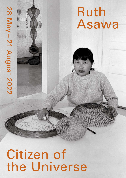# **Citizen of<br>the Universe The Universe 28 May 12 August 2022**

Ruth

Asawa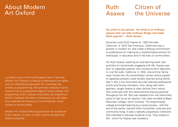# About Modern Art Oxford

Located in one of the world's great cities of learning, Modern Art Oxford is a leading contemporary art space with an international reputation for innovative and ambitious programming. We promote creativity in all its visual forms as a progressive agent of social change. Our programmes, both in person and online, are shaped by a belief in dialogue between contemporary art and ideas, and celebrate the relevance of contemporary visual culture to society today.

Modern Art Oxford offers opportunities for audiences to be inspired, to enjoy, to learn, and to develop their creative potential.

## Ruth Asawa Citizen of the Universe

*"An artist is not special. An artist is an ordinary person who can take ordinary things and make them special."* **– Ruth Asawa**

American artist Ruth Asawa (b. 1926 Norwalk, California– d. 2013 San Francisco, California) was a pioneer in modern art. She made a lifelong commitment to professional art making as a transformative activity for individuals, in education and in the lives of communities.

For Ruth Asawa, teaching art and learning were vital activities for dynamically engaging with life. Asawa was born to Japanese parents who worked as farm labourers in rural Norwalk, California. In 1942, she and her family were forced into US concentration camps where people of Japanese ancestry were forcibly interned during World War II. But in her time there she met interned professional artists and Disney animators, who, along with other teachers, taught Asawa to draw directly from nature. She continued with this observational drawing practice throughout her life. She was released from the internment camp to train as an art teacher, then later enrolled at Black Mountain College, North Carolina. The experimental college promoted learning as a social process - with the arts at the centre, framed within humanities, sciences and community living. It was a radically progressive institution that intended to educate students to be "fully awake to life", which for Asawa was revelatory.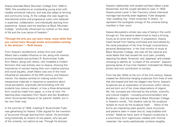Asawa attended Black Mountain College from 1946 to 1949. She excelled as an outstanding young artist with notable emotional maturity, and was also adept at farming and community living. At the college she was taught by international artists and progressive tutors who believed in expertise, collaboration, and individually learning from experience. Asawa said the teachers at Black Mountain College: "profoundly influenced my outlook on the value of life and the true nature of freedom."

### *"Through the arts you can learn many, many skills that you cannot learn through books and problem-solving in the abstract."* **– Ruth Asawa**

From Asawa's recollections, artists Anni and Josef Albers had a notable influence on her, along with inventor, environmentalist and architect R. Buckminster Fuller. Anni Albers, along with others, role modelled a modern feminism that was entirely new to Asawa, showing the importance of women having their own creative practice and social equality. Josef Albers was one of the most influential art educators of the 20th century, and Asawa's mentor. His classes centred on making works from inexpensive materials in response to questions about visual perception, practically demonstrating with the students how colours interact, or how a three-dimensional form could be made from paper, or a line of wire. His teaching drew inspiration from Taoism and Zen Buddhism, which reconnected Asawa to her parents' beliefs, but in her own fresh way.

In the summer of 1948, meeting R. Buckminster Fuller was galvanising for Asawa. Fuller argued for the invention of structures through learning from nature. He promoted living holistically as citizens of one planet, who are part of the universe, not nations at war. Through his lectures

Asawa's relationship with student architect Albert Lanier blossomed, and the couple decided to wed. In 1949 Asawa joined Lanier in San Francisco where interracial marriage had recently been legalised. Fuller designed their wedding ring - three conjoined 'A' letters - to represent the synergistic energy of the universe being manifest in their union.

Asawa discovered a whole new way of being in the world through art. She became determined to have a thriving future as an artist and mother. In preparation, Asawa freed herself from feeling victimised and traumatised by the racial prejudices of her time through conscientious personal development. In her final months of study at Black Mountain College, she cast off the national and racial labels that had caused her such pain, privately rejecting the labels 'American' and 'Japanese' and instead choosing to identify as "a citizen of the universe". Asawa's growing sense of true inner freedom motivated her lifelong artistic and civic contribution to society.

From the late 1940s to the turn of the 21st century, Asawa created her distinctive hanging sculptures from lines of wire that she looped and tied into elegant new forms. Asawa's sculptures are an exploration of structures within nature, and are born out of her close observations of organic life. Her concepts are informed by the artistic, scientific, and cultural insights – including environmentalism and Buddhism – that she learned at Black Mountain College. In Asawa's words, "the shadow cast by the sculpture reveals as much as the sculpture itself. … Many of the forms are inspired by plant growth, bone structures and patterns seen in water and oil, soap bubbles and smoke". Made by hand, each of Asawa's sculptures is a voluminous form ingeniously created with minimal materials. Her works aesthetically combine tangible,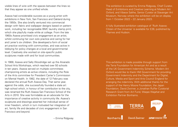visible lines of wire with the spaces between the lines so that they appear as one unified whole.

Asawa had considerable success as a young artist with exhibitions in New York, San Francisco and Oakland during the 1950s. She also briefly ventured into commercial design with fabric and wallpaper designs based on pattern work, including her recognisable BMC laundry stamp print, which she playfully made while at college. From the late 1960s Asawa prioritised civic engagement as an artist, whilst continuing her own solo practice and caring for her and Lanier's six children. She developed a form of social art practice working with communities, and was active in lobbying for policy changes at a local and governmental level. Creatively she worked on site-specific public sculptures made with and for local communities.

In 1968, Asawa and Sally Woodridge set up the Alvarado School Arts Workshops, which reached over 50 schools in ten years. Asawa served on multiple committees championing artists as active citizens, including the Role of the Arts committee for President Carter's Commission on Mental Health. In 1982, the date of 12 February was declared the annual Ruth Asawa Day. That same year, against the odds, she successfully founded a state art high school which, in honour of her contribution to the city, was renamed the Ruth Asawa San Francisco School of the Arts in 2010. She was formidable as an advocate for the importance of creative activity in community life. Asawa's sculptures and drawings asserted her individual sense of inner freedom, which in turn motivated her integration of art, family life and decades of civic engagement in San Francisco and beyond.

– Emma Ridgway

The exhibition is curated by Emma Ridgway, Chief Curator, Head of Exhibitions and Creative Learning at Modern Art Oxford, and Vibece Salthe, Senior Curator at Stavanger Art Museum, Norway where the exhibition will be on display from 1 October 2022 – 22 January 2023.

A fully illustrated exhibition catalogue of 'Ruth Asawa: Citizen of the Universe' is available for £28, published by Thames and Hudson.

This exhibition is made possible through support from the Terra Foundation for American Art and as a result of the UK Government Indemnity Scheme. Modern Art Oxford would like to thank HM Government for providing Government Indemnity and the Department for Digital, Culture, Media and Sport and Arts Council England for arranging the indemnity. With additional thanks for the support of the Henry Moore Foundation, the Japan Foundation, David Zwirner, a Jonathan Ruffer Curatorial Research Grant from Art Fund, Waqas Wajahat and Exhibition Partner Bonhams.